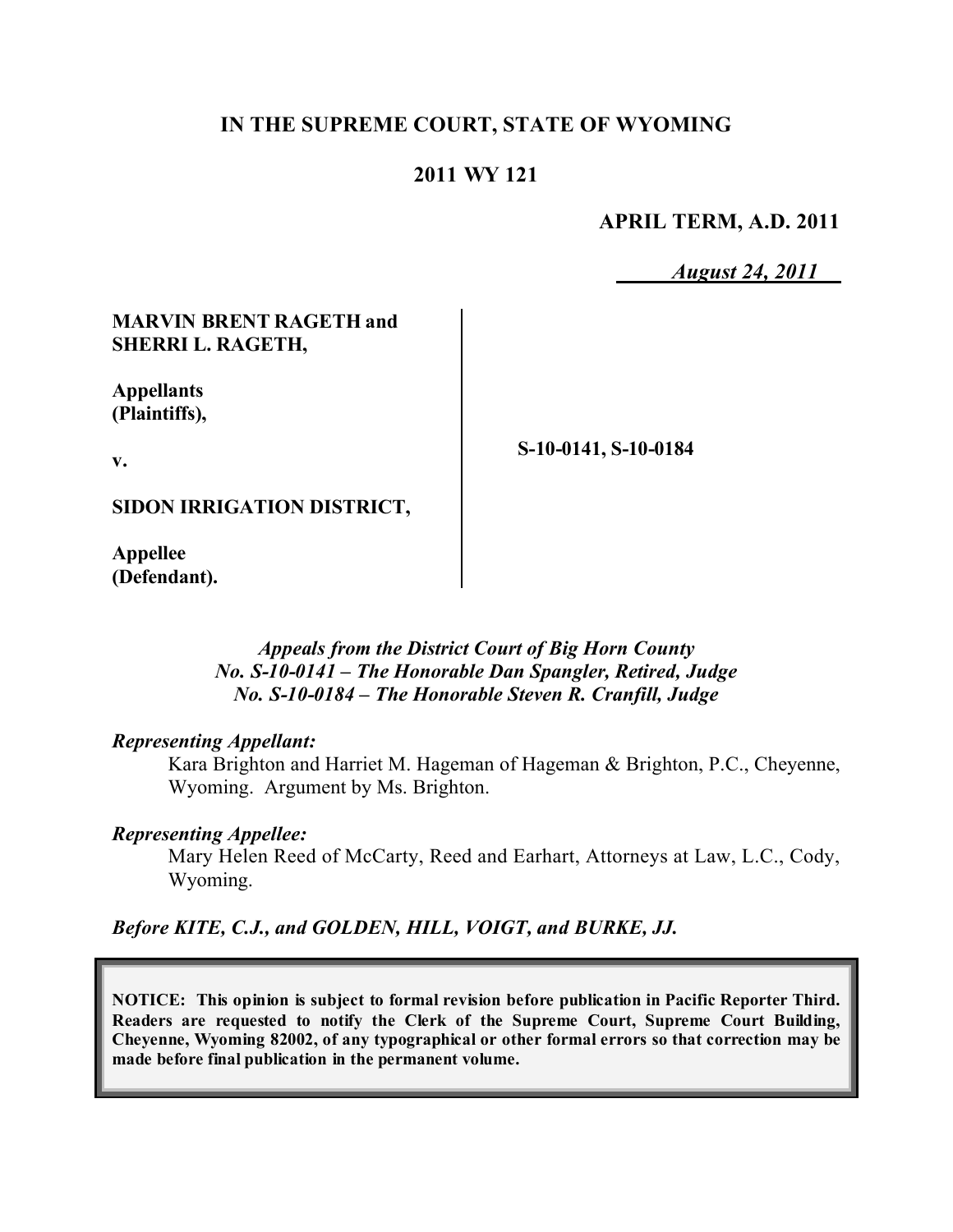## **IN THE SUPREME COURT, STATE OF WYOMING**

### **2011 WY 121**

**APRIL TERM, A.D. 2011**

*August 24, 2011*

### **MARVIN BRENT RAGETH and SHERRI L. RAGETH,**

**Appellants (Plaintiffs),**

**v.**

**S-10-0141, S-10-0184**

**SIDON IRRIGATION DISTRICT,**

**Appellee (Defendant).**

### *Appeals from the District Court of Big Horn County No. S-10-0141 – The Honorable Dan Spangler, Retired, Judge No. S-10-0184 – The Honorable Steven R. Cranfill, Judge*

### *Representing Appellant:*

Kara Brighton and Harriet M. Hageman of Hageman & Brighton, P.C., Cheyenne, Wyoming. Argument by Ms. Brighton.

#### *Representing Appellee:*

Mary Helen Reed of McCarty, Reed and Earhart, Attorneys at Law, L.C., Cody, Wyoming.

*Before KITE, C.J., and GOLDEN, HILL, VOIGT, and BURKE, JJ.*

**NOTICE: This opinion is subject to formal revision before publication in Pacific Reporter Third. Readers are requested to notify the Clerk of the Supreme Court, Supreme Court Building, Cheyenne, Wyoming 82002, of any typographical or other formal errors so that correction may be made before final publication in the permanent volume.**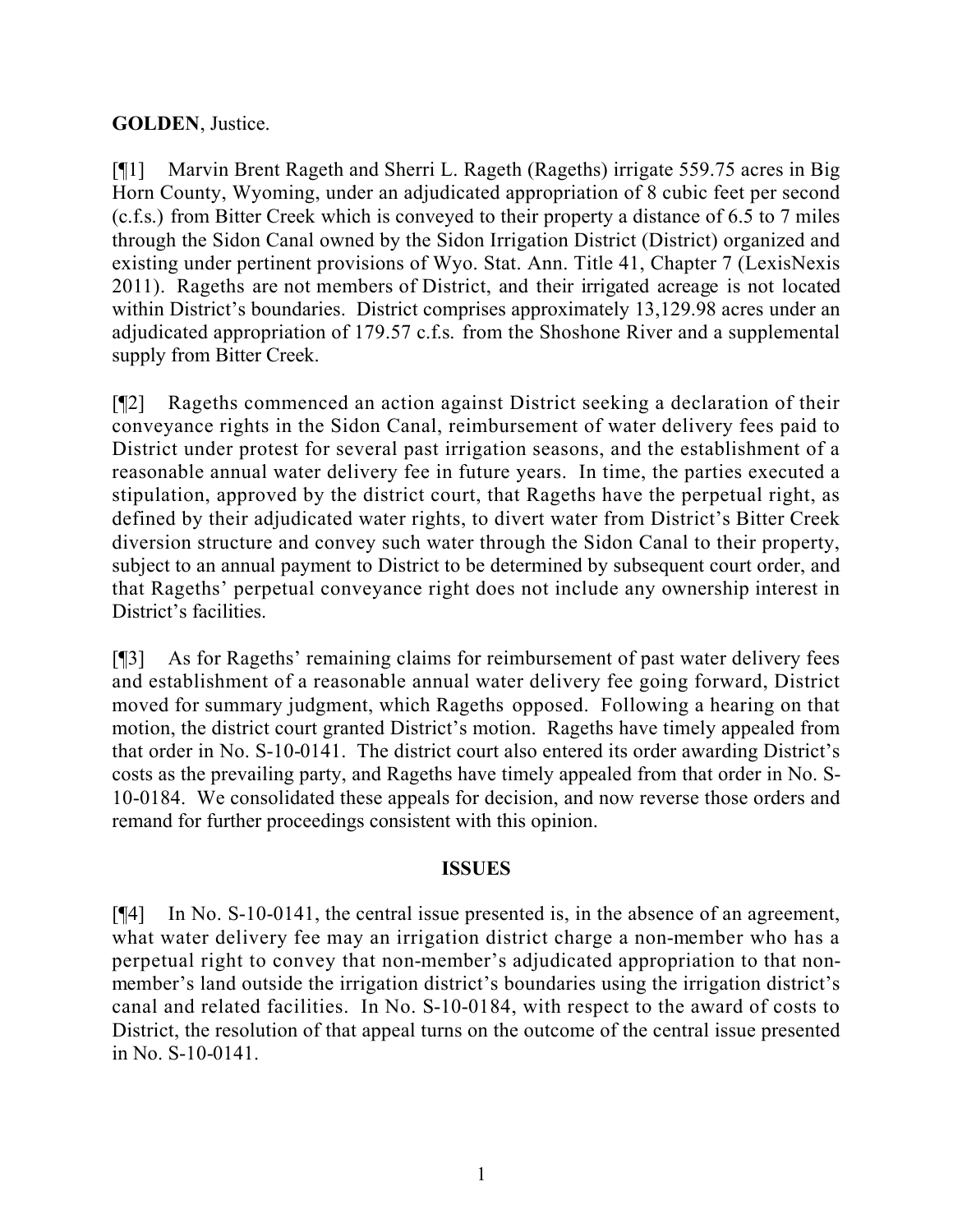## **GOLDEN**, Justice.

[¶1] Marvin Brent Rageth and Sherri L. Rageth (Rageths) irrigate 559.75 acres in Big Horn County, Wyoming, under an adjudicated appropriation of 8 cubic feet per second (c.f.s.) from Bitter Creek which is conveyed to their property a distance of 6.5 to 7 miles through the Sidon Canal owned by the Sidon Irrigation District (District) organized and existing under pertinent provisions of Wyo. Stat. Ann. Title 41, Chapter 7 (LexisNexis 2011). Rageths are not members of District, and their irrigated acreage is not located within District's boundaries. District comprises approximately 13,129.98 acres under an adjudicated appropriation of 179.57 c.f.s. from the Shoshone River and a supplemental supply from Bitter Creek.

[¶2] Rageths commenced an action against District seeking a declaration of their conveyance rights in the Sidon Canal, reimbursement of water delivery fees paid to District under protest for several past irrigation seasons, and the establishment of a reasonable annual water delivery fee in future years. In time, the parties executed a stipulation, approved by the district court, that Rageths have the perpetual right, as defined by their adjudicated water rights, to divert water from District's Bitter Creek diversion structure and convey such water through the Sidon Canal to their property, subject to an annual payment to District to be determined by subsequent court order, and that Rageths' perpetual conveyance right does not include any ownership interest in District's facilities.

[¶3] As for Rageths' remaining claims for reimbursement of past water delivery fees and establishment of a reasonable annual water delivery fee going forward, District moved for summary judgment, which Rageths opposed. Following a hearing on that motion, the district court granted District's motion. Rageths have timely appealed from that order in No. S-10-0141. The district court also entered its order awarding District's costs as the prevailing party, and Rageths have timely appealed from that order in No. S-10-0184. We consolidated these appeals for decision, and now reverse those orders and remand for further proceedings consistent with this opinion.

#### **ISSUES**

[¶4] In No. S-10-0141, the central issue presented is, in the absence of an agreement, what water delivery fee may an irrigation district charge a non-member who has a perpetual right to convey that non-member's adjudicated appropriation to that nonmember's land outside the irrigation district's boundaries using the irrigation district's canal and related facilities. In No. S-10-0184, with respect to the award of costs to District, the resolution of that appeal turns on the outcome of the central issue presented in No. S-10-0141.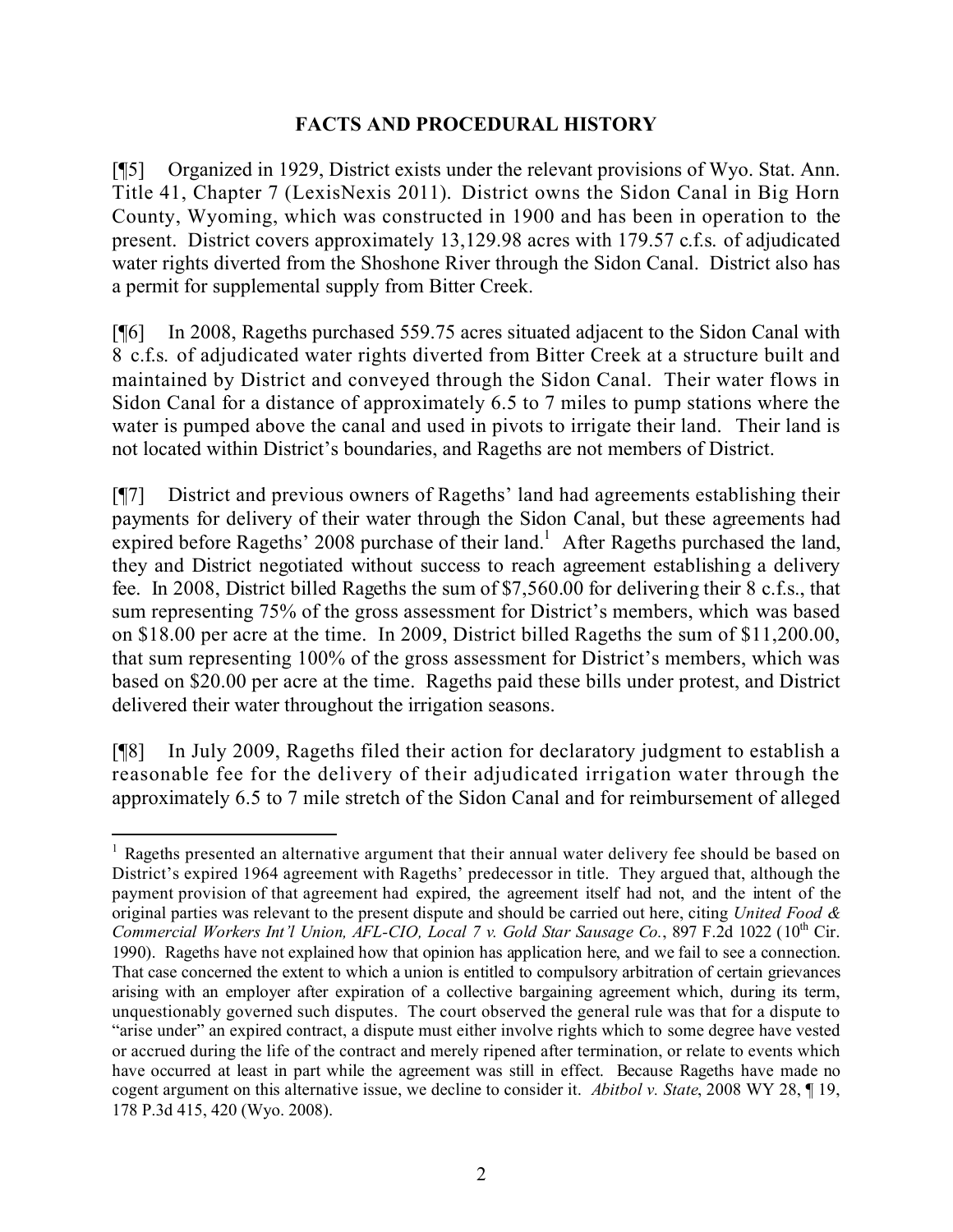## **FACTS AND PROCEDURAL HISTORY**

[¶5] Organized in 1929, District exists under the relevant provisions of Wyo. Stat. Ann. Title 41, Chapter 7 (LexisNexis 2011). District owns the Sidon Canal in Big Horn County, Wyoming, which was constructed in 1900 and has been in operation to the present. District covers approximately 13,129.98 acres with 179.57 c.f.s. of adjudicated water rights diverted from the Shoshone River through the Sidon Canal. District also has a permit for supplemental supply from Bitter Creek.

[¶6] In 2008, Rageths purchased 559.75 acres situated adjacent to the Sidon Canal with 8 c.f.s. of adjudicated water rights diverted from Bitter Creek at a structure built and maintained by District and conveyed through the Sidon Canal. Their water flows in Sidon Canal for a distance of approximately 6.5 to 7 miles to pump stations where the water is pumped above the canal and used in pivots to irrigate their land. Their land is not located within District's boundaries, and Rageths are not members of District.

[¶7] District and previous owners of Rageths' land had agreements establishing their payments for delivery of their water through the Sidon Canal, but these agreements had expired before Rageths' 2008 purchase of their land.<sup>1</sup> After Rageths purchased the land, they and District negotiated without success to reach agreement establishing a delivery fee. In 2008, District billed Rageths the sum of \$7,560.00 for delivering their 8 c.f.s., that sum representing 75% of the gross assessment for District's members, which was based on \$18.00 per acre at the time. In 2009, District billed Rageths the sum of \$11,200.00, that sum representing 100% of the gross assessment for District's members, which was based on \$20.00 per acre at the time. Rageths paid these bills under protest, and District delivered their water throughout the irrigation seasons.

[¶8] In July 2009, Rageths filed their action for declaratory judgment to establish a reasonable fee for the delivery of their adjudicated irrigation water through the approximately 6.5 to 7 mile stretch of the Sidon Canal and for reimbursement of alleged

 <sup>1</sup> Rageths presented an alternative argument that their annual water delivery fee should be based on District's expired 1964 agreement with Rageths' predecessor in title. They argued that, although the payment provision of that agreement had expired, the agreement itself had not, and the intent of the original parties was relevant to the present dispute and should be carried out here, citing *United Food & Commercial Workers Int'l Union, AFL-CIO, Local 7 v. Gold Star Sausage Co.*, 897 F.2d 1022 (10 th Cir. 1990). Rageths have not explained how that opinion has application here, and we fail to see a connection. That case concerned the extent to which a union is entitled to compulsory arbitration of certain grievances arising with an employer after expiration of a collective bargaining agreement which, during its term, unquestionably governed such disputes. The court observed the general rule was that for a dispute to "arise under" an expired contract, a dispute must either involve rights which to some degree have vested or accrued during the life of the contract and merely ripened after termination, or relate to events which have occurred at least in part while the agreement was still in effect. Because Rageths have made no cogent argument on this alternative issue, we decline to consider it. *Abitbol v. State*, 2008 WY 28, ¶ 19, 178 P.3d 415, 420 (Wyo. 2008).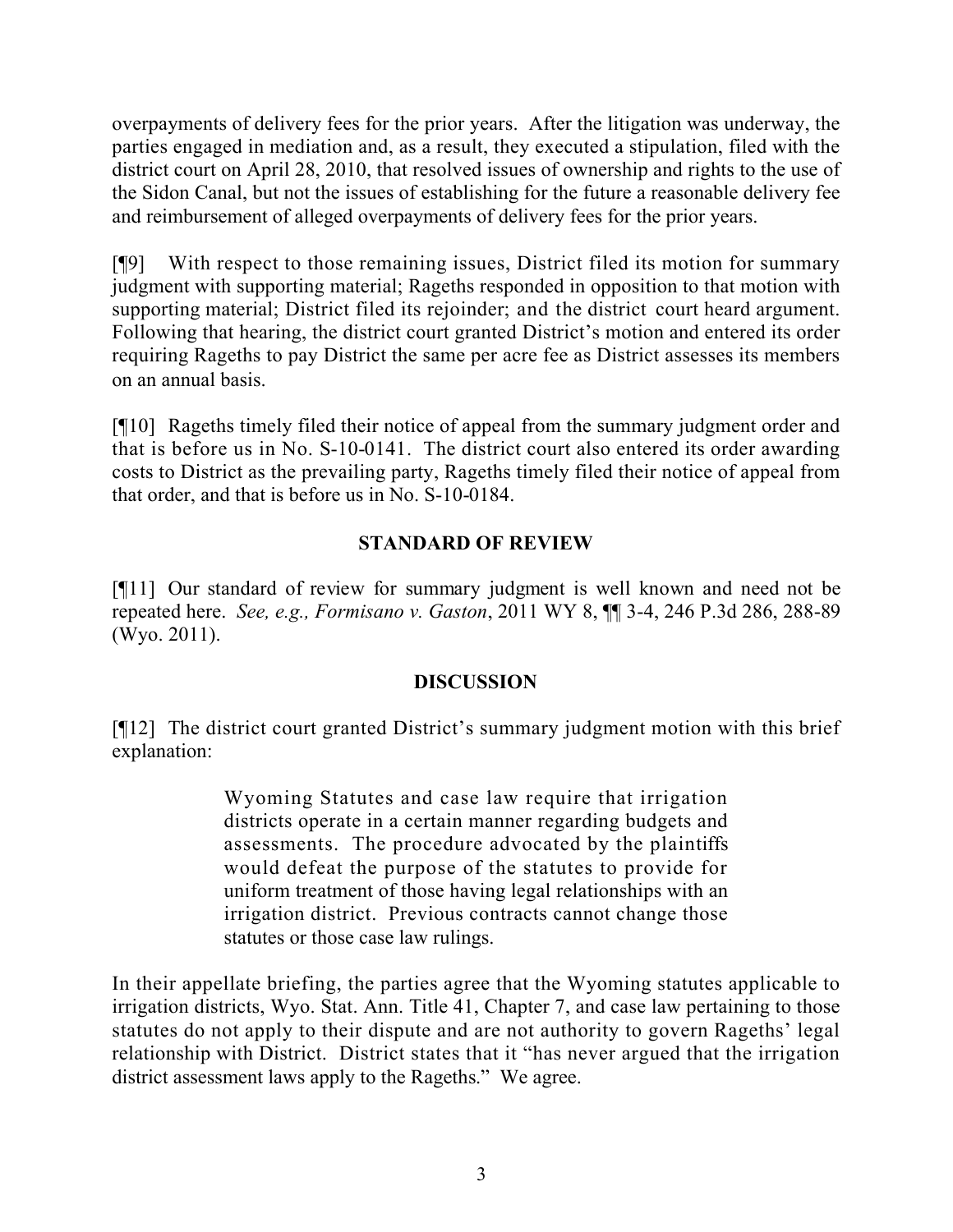overpayments of delivery fees for the prior years. After the litigation was underway, the parties engaged in mediation and, as a result, they executed a stipulation, filed with the district court on April 28, 2010, that resolved issues of ownership and rights to the use of the Sidon Canal, but not the issues of establishing for the future a reasonable delivery fee and reimbursement of alleged overpayments of delivery fees for the prior years.

[¶9] With respect to those remaining issues, District filed its motion for summary judgment with supporting material; Rageths responded in opposition to that motion with supporting material; District filed its rejoinder; and the district court heard argument. Following that hearing, the district court granted District's motion and entered its order requiring Rageths to pay District the same per acre fee as District assesses its members on an annual basis.

[¶10] Rageths timely filed their notice of appeal from the summary judgment order and that is before us in No. S-10-0141. The district court also entered its order awarding costs to District as the prevailing party, Rageths timely filed their notice of appeal from that order, and that is before us in No. S-10-0184.

# **STANDARD OF REVIEW**

[¶11] Our standard of review for summary judgment is well known and need not be repeated here. *See, e.g., Formisano v. Gaston*, 2011 WY 8, ¶¶ 3-4, 246 P.3d 286, 288-89 (Wyo. 2011).

# **DISCUSSION**

[¶12] The district court granted District's summary judgment motion with this brief explanation:

> Wyoming Statutes and case law require that irrigation districts operate in a certain manner regarding budgets and assessments. The procedure advocated by the plaintiffs would defeat the purpose of the statutes to provide for uniform treatment of those having legal relationships with an irrigation district. Previous contracts cannot change those statutes or those case law rulings.

In their appellate briefing, the parties agree that the Wyoming statutes applicable to irrigation districts, Wyo. Stat. Ann. Title 41, Chapter 7, and case law pertaining to those statutes do not apply to their dispute and are not authority to govern Rageths' legal relationship with District. District states that it "has never argued that the irrigation district assessment laws apply to the Rageths." We agree.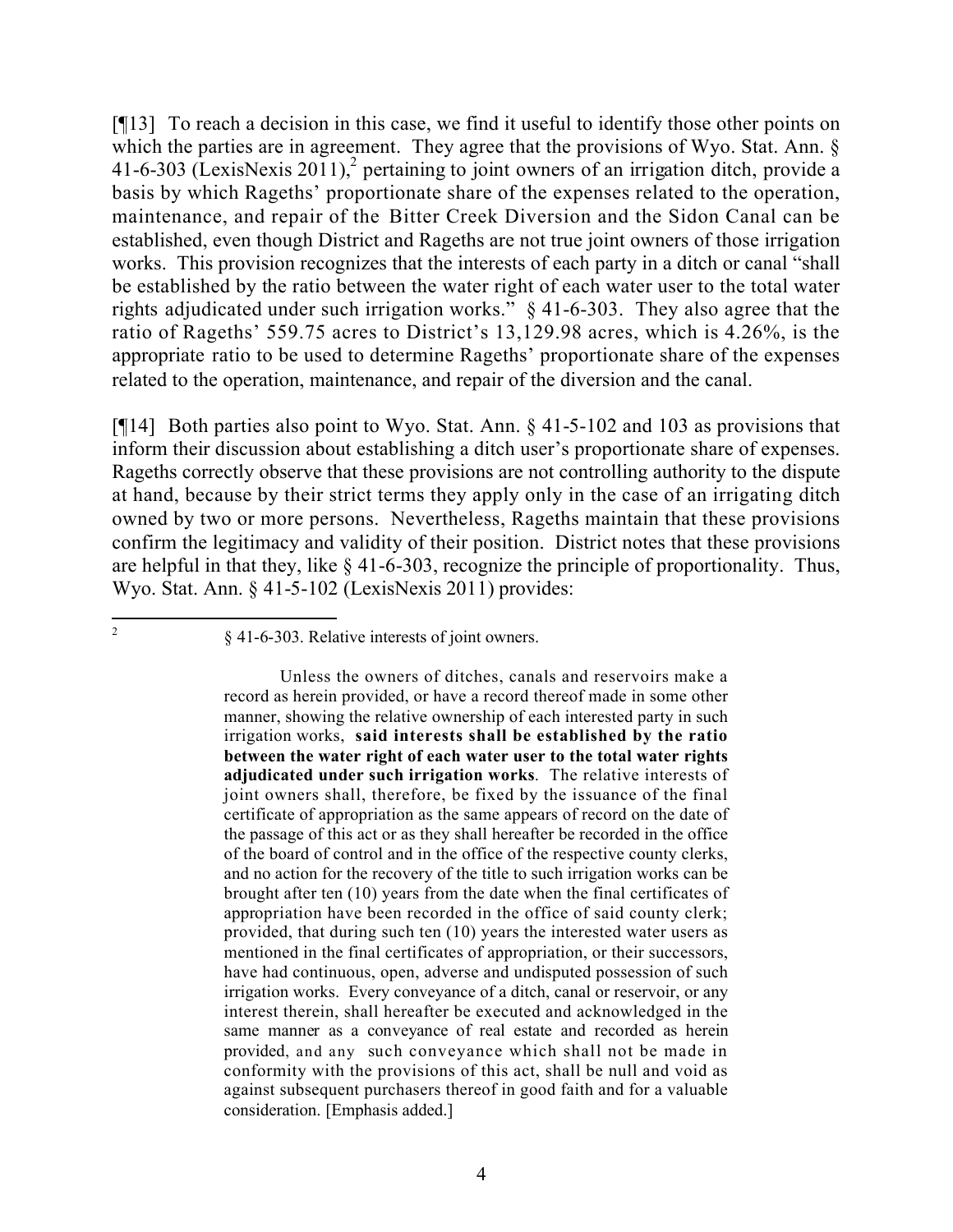[¶13] To reach a decision in this case, we find it useful to identify those other points on which the parties are in agreement. They agree that the provisions of Wyo. Stat. Ann. § 41-6-303 (LexisNexis 2011),<sup>2</sup> pertaining to joint owners of an irrigation ditch, provide a basis by which Rageths' proportionate share of the expenses related to the operation, maintenance, and repair of the Bitter Creek Diversion and the Sidon Canal can be established, even though District and Rageths are not true joint owners of those irrigation works. This provision recognizes that the interests of each party in a ditch or canal "shall be established by the ratio between the water right of each water user to the total water rights adjudicated under such irrigation works." § 41-6-303. They also agree that the ratio of Rageths' 559.75 acres to District's 13,129.98 acres, which is 4.26%, is the appropriate ratio to be used to determine Rageths' proportionate share of the expenses related to the operation, maintenance, and repair of the diversion and the canal.

[¶14] Both parties also point to Wyo. Stat. Ann. § 41-5-102 and 103 as provisions that inform their discussion about establishing a ditch user's proportionate share of expenses. Rageths correctly observe that these provisions are not controlling authority to the dispute at hand, because by their strict terms they apply only in the case of an irrigating ditch owned by two or more persons. Nevertheless, Rageths maintain that these provisions confirm the legitimacy and validity of their position. District notes that these provisions are helpful in that they, like § 41-6-303, recognize the principle of proportionality. Thus, Wyo. Stat. Ann. § 41-5-102 (LexisNexis 2011) provides:

 $\overline{a}$ 

<sup>2</sup>

<sup>§ 41-6-303.</sup> Relative interests of joint owners.

Unless the owners of ditches, canals and reservoirs make a record as herein provided, or have a record thereof made in some other manner, showing the relative ownership of each interested party in such irrigation works, **said interests shall be established by the ratio between the water right of each water user to the total water rights adjudicated under such irrigation works**. The relative interests of joint owners shall, therefore, be fixed by the issuance of the final certificate of appropriation as the same appears of record on the date of the passage of this act or as they shall hereafter be recorded in the office of the board of control and in the office of the respective county clerks, and no action for the recovery of the title to such irrigation works can be brought after ten (10) years from the date when the final certificates of appropriation have been recorded in the office of said county clerk; provided, that during such ten (10) years the interested water users as mentioned in the final certificates of appropriation, or their successors, have had continuous, open, adverse and undisputed possession of such irrigation works. Every conveyance of a ditch, canal or reservoir, or any interest therein, shall hereafter be executed and acknowledged in the same manner as a conveyance of real estate and recorded as herein provided, and any such conveyance which shall not be made in conformity with the provisions of this act, shall be null and void as against subsequent purchasers thereof in good faith and for a valuable consideration. [Emphasis added.]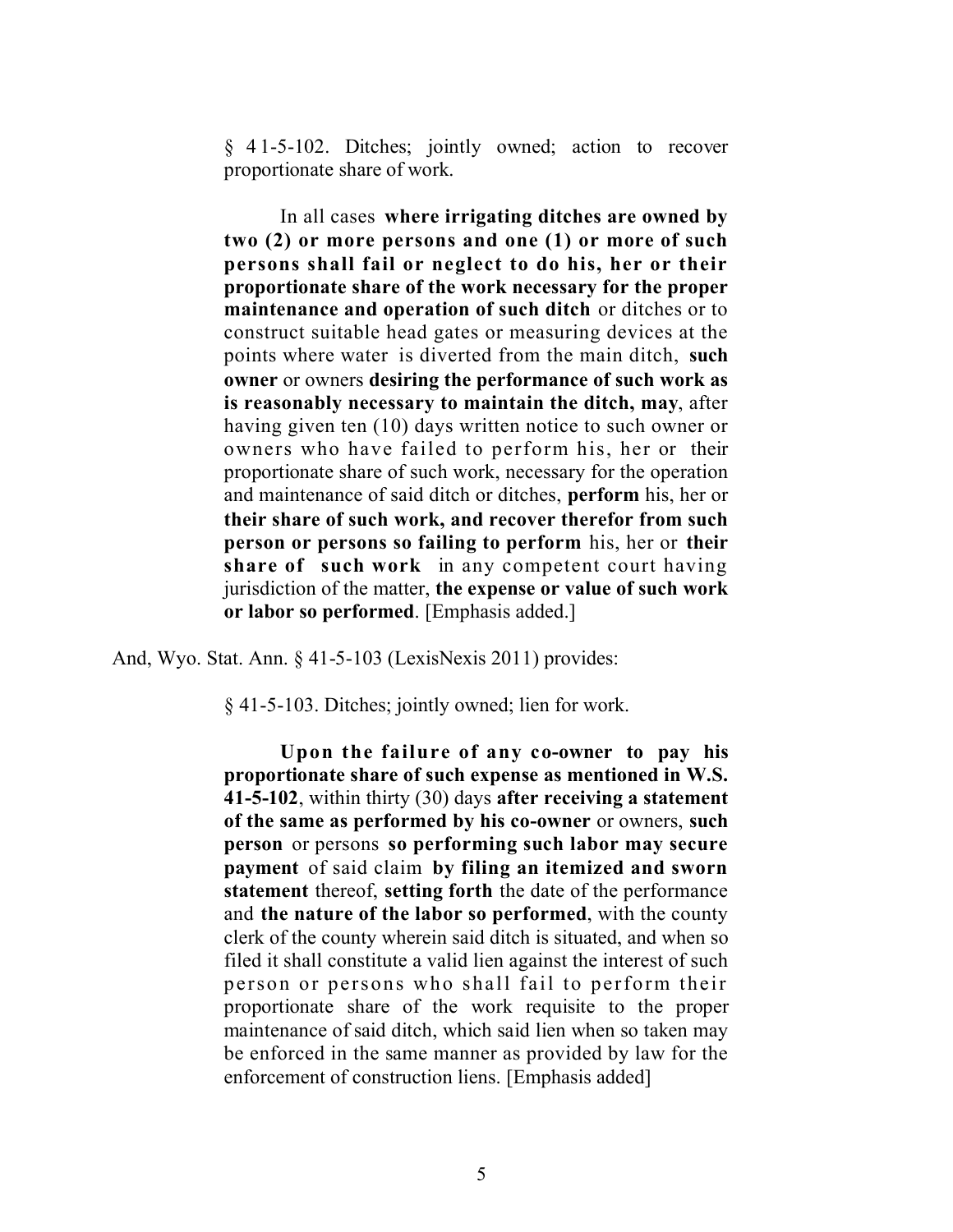§ 41-5-102. Ditches; jointly owned; action to recover proportionate share of work.

In all cases **where irrigating ditches are owned by two (2) or more persons and one (1) or more of such persons shall fail or neglect to do his, her or their proportionate share of the work necessary for the proper maintenance and operation of such ditch** or ditches or to construct suitable head gates or measuring devices at the points where water is diverted from the main ditch, **such owner** or owners **desiring the performance of such work as is reasonably necessary to maintain the ditch, may**, after having given ten (10) days written notice to such owner or owners who have failed to perform his, her or their proportionate share of such work, necessary for the operation and maintenance of said ditch or ditches, **perform** his, her or **their share of such work, and recover therefor from such person or persons so failing to perform** his, her or **their share of such work** in any competent court having jurisdiction of the matter, **the expense or value of such work or labor so performed**. [Emphasis added.]

And, Wyo. Stat. Ann. § 41-5-103 (LexisNexis 2011) provides:

§ 41-5-103. Ditches; jointly owned; lien for work.

**Upon the failure of any co-owner to pay his proportionate share of such expense as mentioned in W.S. 41-5-102**, within thirty (30) days **after receiving a statement of the same as performed by his co-owner** or owners, **such person** or persons **so performing such labor may secure payment** of said claim **by filing an itemized and sworn statement** thereof, **setting forth** the date of the performance and **the nature of the labor so performed**, with the county clerk of the county wherein said ditch is situated, and when so filed it shall constitute a valid lien against the interest of such person or persons who shall fail to perform their proportionate share of the work requisite to the proper maintenance of said ditch, which said lien when so taken may be enforced in the same manner as provided by law for the enforcement of construction liens. [Emphasis added]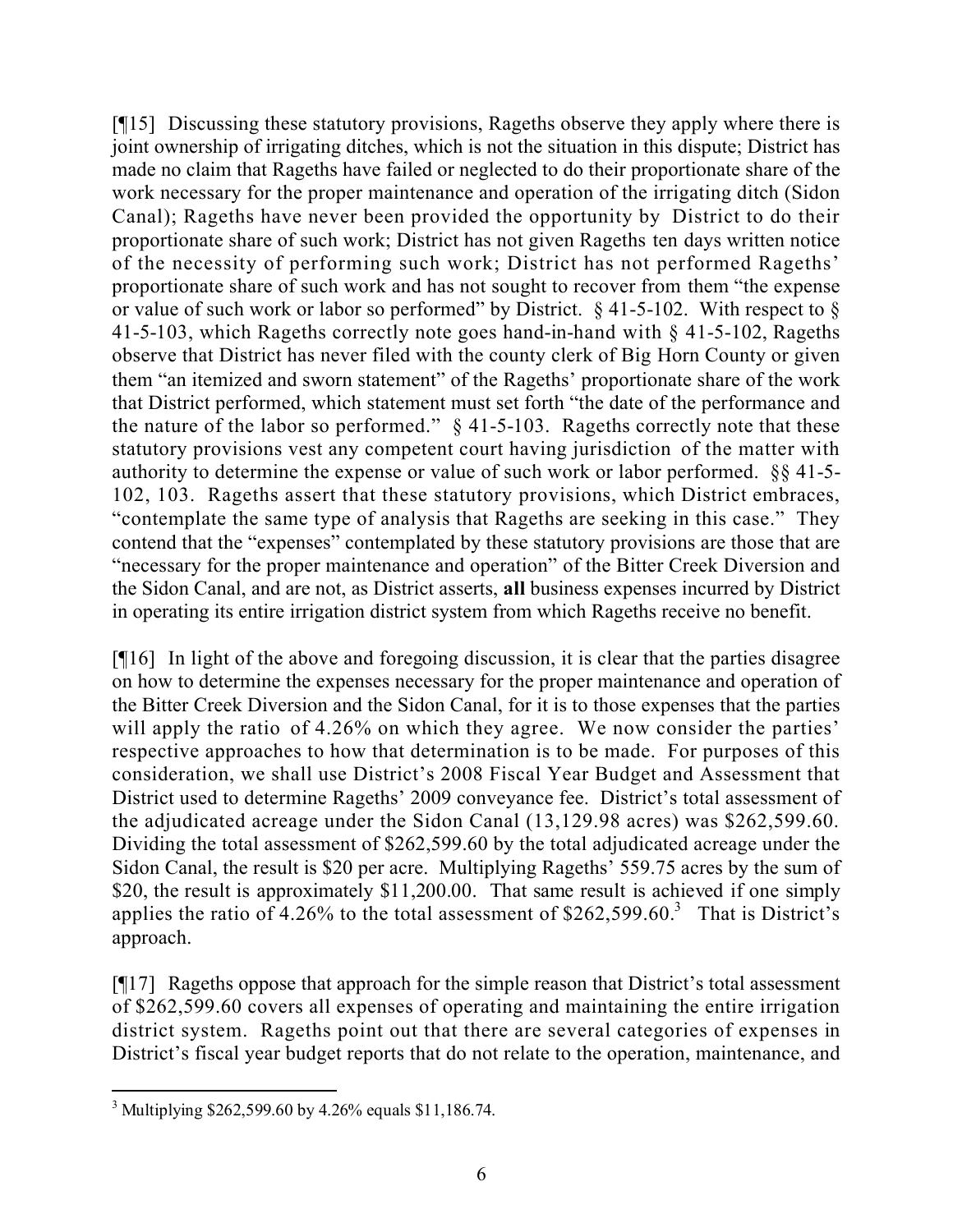[¶15] Discussing these statutory provisions, Rageths observe they apply where there is joint ownership of irrigating ditches, which is not the situation in this dispute; District has made no claim that Rageths have failed or neglected to do their proportionate share of the work necessary for the proper maintenance and operation of the irrigating ditch (Sidon Canal); Rageths have never been provided the opportunity by District to do their proportionate share of such work; District has not given Rageths ten days written notice of the necessity of performing such work; District has not performed Rageths' proportionate share of such work and has not sought to recover from them "the expense or value of such work or labor so performed" by District. § 41-5-102. With respect to § 41-5-103, which Rageths correctly note goes hand-in-hand with § 41-5-102, Rageths observe that District has never filed with the county clerk of Big Horn County or given them "an itemized and sworn statement" of the Rageths' proportionate share of the work that District performed, which statement must set forth "the date of the performance and the nature of the labor so performed." § 41-5-103. Rageths correctly note that these statutory provisions vest any competent court having jurisdiction of the matter with authority to determine the expense or value of such work or labor performed. §§ 41-5- 102, 103. Rageths assert that these statutory provisions, which District embraces, "contemplate the same type of analysis that Rageths are seeking in this case." They contend that the "expenses" contemplated by these statutory provisions are those that are "necessary for the proper maintenance and operation" of the Bitter Creek Diversion and the Sidon Canal, and are not, as District asserts, **all** business expenses incurred by District in operating its entire irrigation district system from which Rageths receive no benefit.

[¶16] In light of the above and foregoing discussion, it is clear that the parties disagree on how to determine the expenses necessary for the proper maintenance and operation of the Bitter Creek Diversion and the Sidon Canal, for it is to those expenses that the parties will apply the ratio of 4.26% on which they agree. We now consider the parties' respective approaches to how that determination is to be made. For purposes of this consideration, we shall use District's 2008 Fiscal Year Budget and Assessment that District used to determine Rageths' 2009 conveyance fee. District's total assessment of the adjudicated acreage under the Sidon Canal (13,129.98 acres) was \$262,599.60. Dividing the total assessment of \$262,599.60 by the total adjudicated acreage under the Sidon Canal, the result is \$20 per acre. Multiplying Rageths' 559.75 acres by the sum of \$20, the result is approximately \$11,200.00. That same result is achieved if one simply applies the ratio of 4.26% to the total assessment of  $$262,599.60$ <sup>3</sup> That is District's approach.

[¶17] Rageths oppose that approach for the simple reason that District's total assessment of \$262,599.60 covers all expenses of operating and maintaining the entire irrigation district system. Rageths point out that there are several categories of expenses in District's fiscal year budget reports that do not relate to the operation, maintenance, and

 <sup>3</sup> Multiplying \$262,599.60 by 4.26% equals \$11,186.74.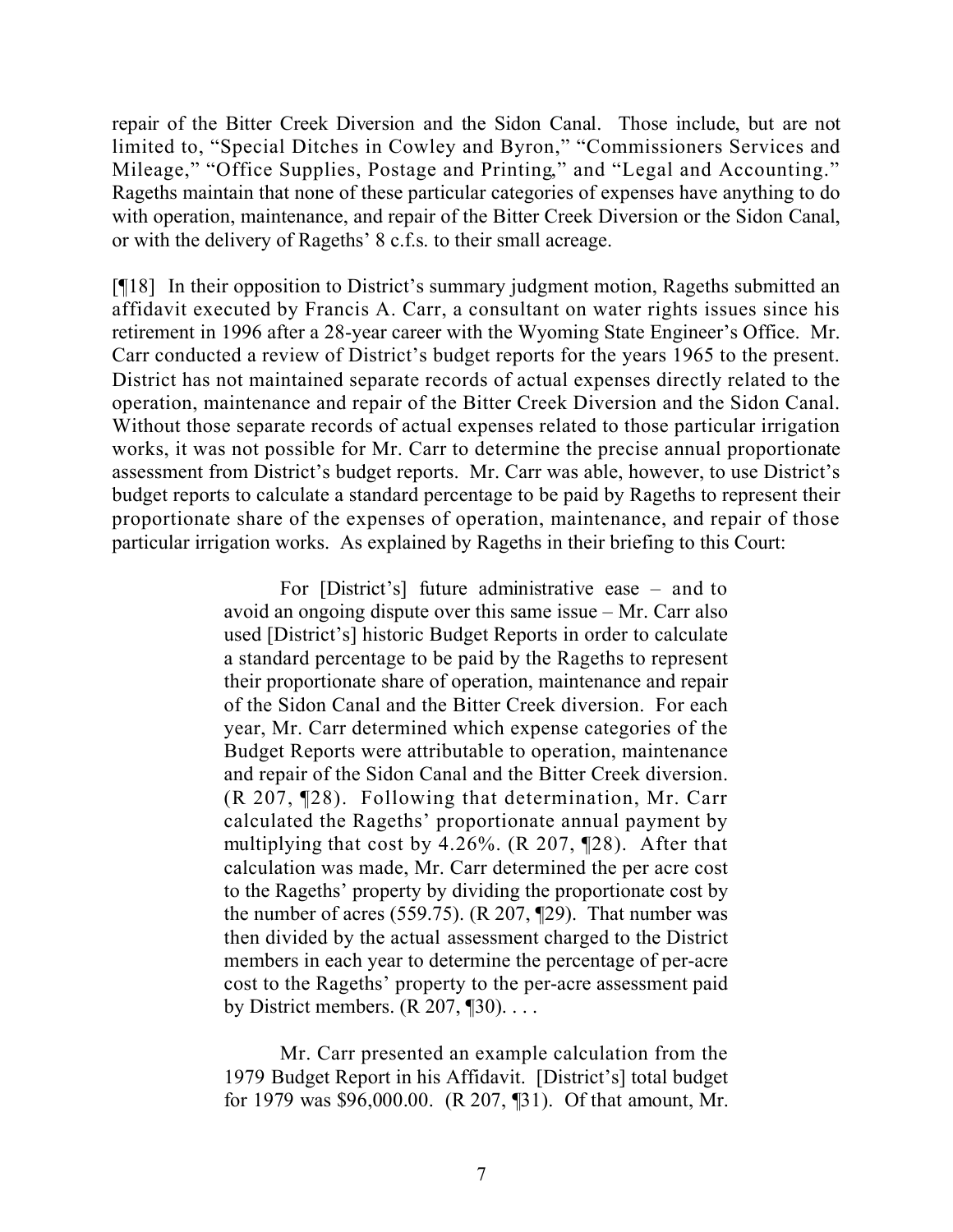repair of the Bitter Creek Diversion and the Sidon Canal. Those include, but are not limited to, "Special Ditches in Cowley and Byron," "Commissioners Services and Mileage," "Office Supplies, Postage and Printing," and "Legal and Accounting." Rageths maintain that none of these particular categories of expenses have anything to do with operation, maintenance, and repair of the Bitter Creek Diversion or the Sidon Canal, or with the delivery of Rageths' 8 c.f.s. to their small acreage.

[¶18] In their opposition to District's summary judgment motion, Rageths submitted an affidavit executed by Francis A. Carr, a consultant on water rights issues since his retirement in 1996 after a 28-year career with the Wyoming State Engineer's Office. Mr. Carr conducted a review of District's budget reports for the years 1965 to the present. District has not maintained separate records of actual expenses directly related to the operation, maintenance and repair of the Bitter Creek Diversion and the Sidon Canal. Without those separate records of actual expenses related to those particular irrigation works, it was not possible for Mr. Carr to determine the precise annual proportionate assessment from District's budget reports. Mr. Carr was able, however, to use District's budget reports to calculate a standard percentage to be paid by Rageths to represent their proportionate share of the expenses of operation, maintenance, and repair of those particular irrigation works. As explained by Rageths in their briefing to this Court:

> For [District's] future administrative ease – and to avoid an ongoing dispute over this same issue – Mr. Carr also used [District's] historic Budget Reports in order to calculate a standard percentage to be paid by the Rageths to represent their proportionate share of operation, maintenance and repair of the Sidon Canal and the Bitter Creek diversion. For each year, Mr. Carr determined which expense categories of the Budget Reports were attributable to operation, maintenance and repair of the Sidon Canal and the Bitter Creek diversion. (R 207, ¶28). Following that determination, Mr. Carr calculated the Rageths' proportionate annual payment by multiplying that cost by 4.26%. (R 207, ¶28). After that calculation was made, Mr. Carr determined the per acre cost to the Rageths' property by dividing the proportionate cost by the number of acres (559.75). ( $R$  207,  $\P$ 29). That number was then divided by the actual assessment charged to the District members in each year to determine the percentage of per-acre cost to the Rageths' property to the per-acre assessment paid by District members.  $(R 207, \P 30)$ ...

> Mr. Carr presented an example calculation from the 1979 Budget Report in his Affidavit. [District's] total budget for 1979 was \$96,000.00. (R 207, ¶31). Of that amount, Mr.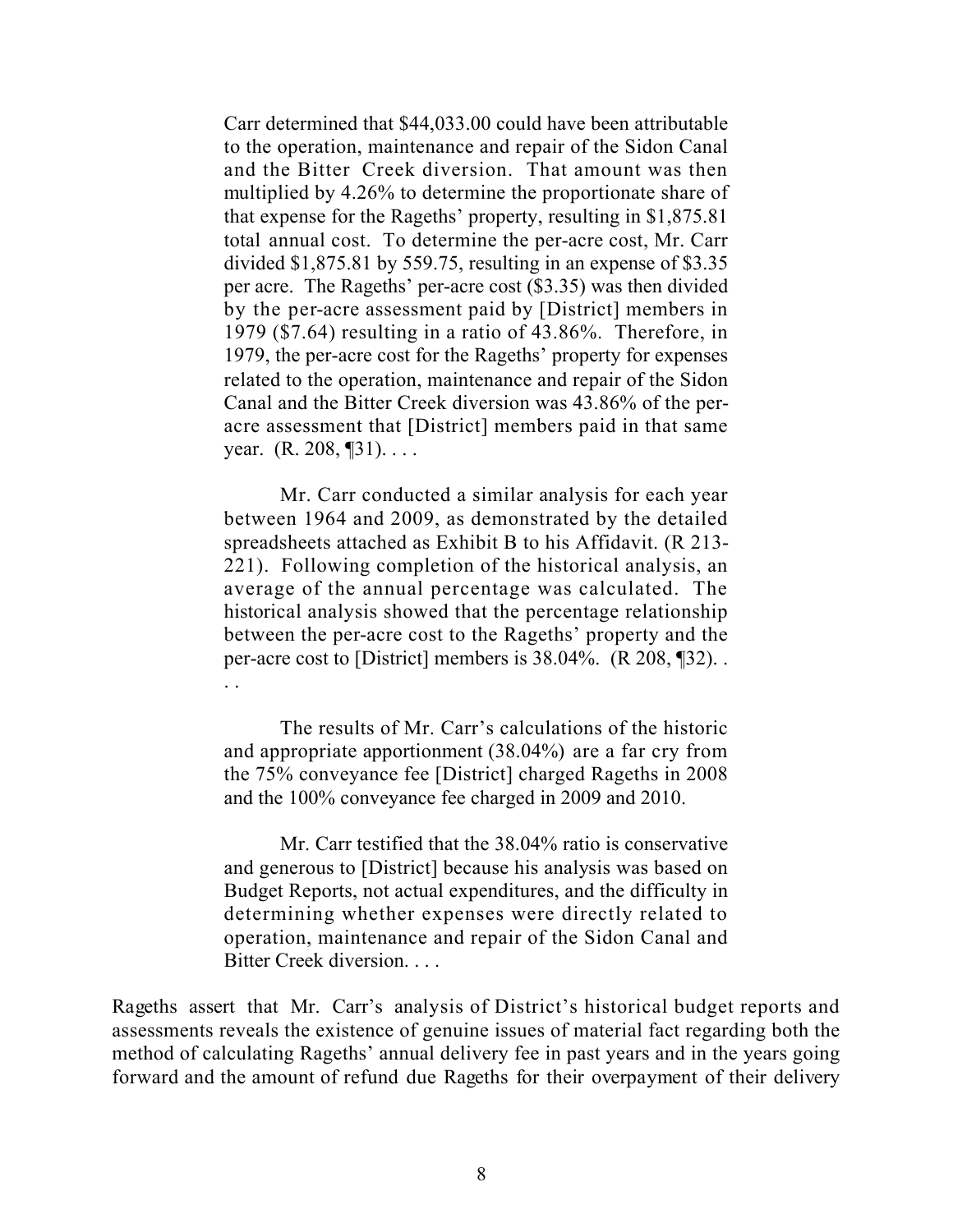Carr determined that \$44,033.00 could have been attributable to the operation, maintenance and repair of the Sidon Canal and the Bitter Creek diversion. That amount was then multiplied by 4.26% to determine the proportionate share of that expense for the Rageths' property, resulting in \$1,875.81 total annual cost. To determine the per-acre cost, Mr. Carr divided \$1,875.81 by 559.75, resulting in an expense of \$3.35 per acre. The Rageths' per-acre cost (\$3.35) was then divided by the per-acre assessment paid by [District] members in 1979 (\$7.64) resulting in a ratio of 43.86%. Therefore, in 1979, the per-acre cost for the Rageths' property for expenses related to the operation, maintenance and repair of the Sidon Canal and the Bitter Creek diversion was 43.86% of the peracre assessment that [District] members paid in that same year. (R. 208, ¶31). . . .

Mr. Carr conducted a similar analysis for each year between 1964 and 2009, as demonstrated by the detailed spreadsheets attached as Exhibit B to his Affidavit. (R 213- 221). Following completion of the historical analysis, an average of the annual percentage was calculated. The historical analysis showed that the percentage relationship between the per-acre cost to the Rageths' property and the per-acre cost to [District] members is 38.04%. (R 208, ¶32). . . .

The results of Mr. Carr's calculations of the historic and appropriate apportionment (38.04%) are a far cry from the 75% conveyance fee [District] charged Rageths in 2008 and the 100% conveyance fee charged in 2009 and 2010.

Mr. Carr testified that the 38.04% ratio is conservative and generous to [District] because his analysis was based on Budget Reports, not actual expenditures, and the difficulty in determining whether expenses were directly related to operation, maintenance and repair of the Sidon Canal and Bitter Creek diversion. . . .

Rageths assert that Mr. Carr's analysis of District's historical budget reports and assessments reveals the existence of genuine issues of material fact regarding both the method of calculating Rageths' annual delivery fee in past years and in the years going forward and the amount of refund due Rageths for their overpayment of their delivery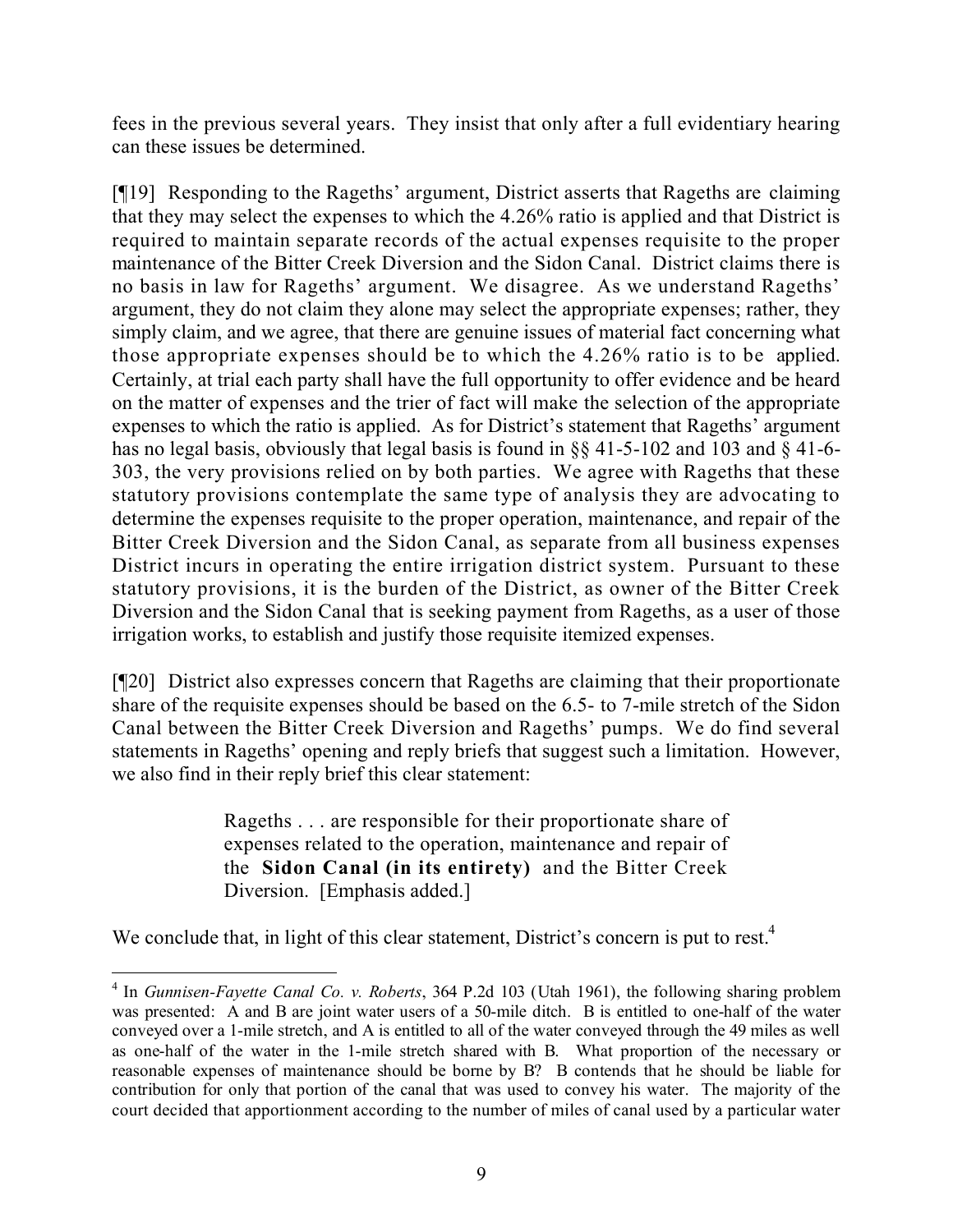fees in the previous several years. They insist that only after a full evidentiary hearing can these issues be determined.

[¶19] Responding to the Rageths' argument, District asserts that Rageths are claiming that they may select the expenses to which the 4.26% ratio is applied and that District is required to maintain separate records of the actual expenses requisite to the proper maintenance of the Bitter Creek Diversion and the Sidon Canal. District claims there is no basis in law for Rageths' argument. We disagree. As we understand Rageths' argument, they do not claim they alone may select the appropriate expenses; rather, they simply claim, and we agree, that there are genuine issues of material fact concerning what those appropriate expenses should be to which the 4.26% ratio is to be applied. Certainly, at trial each party shall have the full opportunity to offer evidence and be heard on the matter of expenses and the trier of fact will make the selection of the appropriate expenses to which the ratio is applied. As for District's statement that Rageths' argument has no legal basis, obviously that legal basis is found in §§ 41-5-102 and 103 and § 41-6- 303, the very provisions relied on by both parties. We agree with Rageths that these statutory provisions contemplate the same type of analysis they are advocating to determine the expenses requisite to the proper operation, maintenance, and repair of the Bitter Creek Diversion and the Sidon Canal, as separate from all business expenses District incurs in operating the entire irrigation district system. Pursuant to these statutory provisions, it is the burden of the District, as owner of the Bitter Creek Diversion and the Sidon Canal that is seeking payment from Rageths, as a user of those irrigation works, to establish and justify those requisite itemized expenses.

[¶20] District also expresses concern that Rageths are claiming that their proportionate share of the requisite expenses should be based on the 6.5- to 7-mile stretch of the Sidon Canal between the Bitter Creek Diversion and Rageths' pumps. We do find several statements in Rageths' opening and reply briefs that suggest such a limitation. However, we also find in their reply brief this clear statement:

> Rageths . . . are responsible for their proportionate share of expenses related to the operation, maintenance and repair of the **Sidon Canal (in its entirety)** and the Bitter Creek Diversion. [Emphasis added.]

We conclude that, in light of this clear statement, District's concern is put to rest.<sup>4</sup>

 $\overline{a}$ 

<sup>4</sup> In *Gunnisen-Fayette Canal Co. v. Roberts*, 364 P.2d 103 (Utah 1961), the following sharing problem was presented: A and B are joint water users of a 50-mile ditch. B is entitled to one-half of the water conveyed over a 1-mile stretch, and A is entitled to all of the water conveyed through the 49 miles as well as one-half of the water in the 1-mile stretch shared with B. What proportion of the necessary or reasonable expenses of maintenance should be borne by B? B contends that he should be liable for contribution for only that portion of the canal that was used to convey his water. The majority of the court decided that apportionment according to the number of miles of canal used by a particular water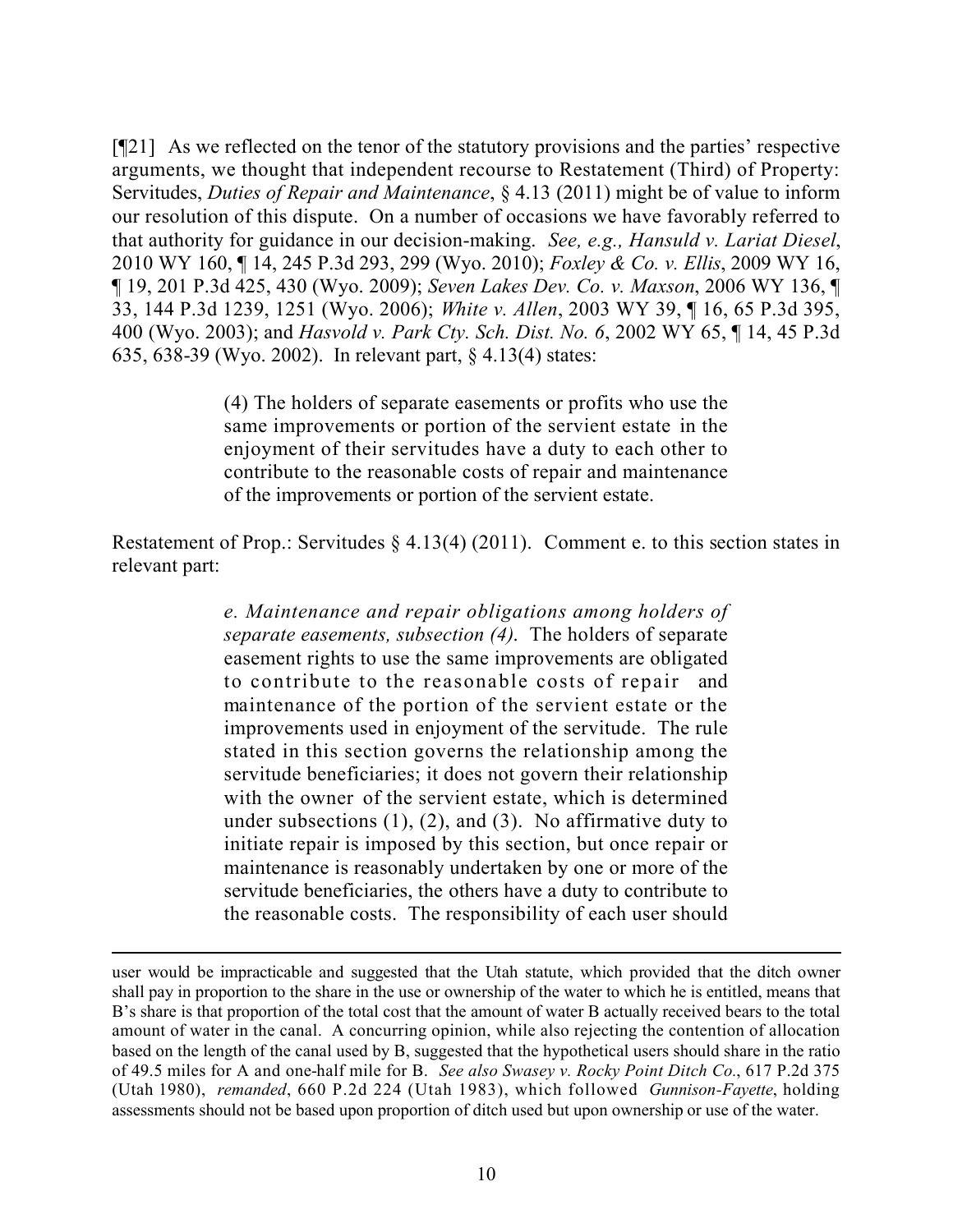[¶21] As we reflected on the tenor of the statutory provisions and the parties' respective arguments, we thought that independent recourse to Restatement (Third) of Property: Servitudes, *Duties of Repair and Maintenance*, § 4.13 (2011) might be of value to inform our resolution of this dispute. On a number of occasions we have favorably referred to that authority for guidance in our decision-making. *See, e.g., Hansuld v. Lariat Diesel*, 2010 WY 160, ¶ 14, 245 P.3d 293, 299 (Wyo. 2010); *Foxley & Co. v. Ellis*, 2009 WY 16, ¶ 19, 201 P.3d 425, 430 (Wyo. 2009); *Seven Lakes Dev. Co. v. Maxson*, 2006 WY 136, ¶ 33, 144 P.3d 1239, 1251 (Wyo. 2006); *White v. Allen*, 2003 WY 39, ¶ 16, 65 P.3d 395, 400 (Wyo. 2003); and *Hasvold v. Park Cty. Sch. Dist. No. 6*, 2002 WY 65, ¶ 14, 45 P.3d 635, 638-39 (Wyo. 2002). In relevant part, § 4.13(4) states:

> (4) The holders of separate easements or profits who use the same improvements or portion of the servient estate in the enjoyment of their servitudes have a duty to each other to contribute to the reasonable costs of repair and maintenance of the improvements or portion of the servient estate.

Restatement of Prop.: Servitudes § 4.13(4) (2011). Comment e. to this section states in relevant part:

> *e. Maintenance and repair obligations among holders of separate easements, subsection (4)*. The holders of separate easement rights to use the same improvements are obligated to contribute to the reasonable costs of repair and maintenance of the portion of the servient estate or the improvements used in enjoyment of the servitude. The rule stated in this section governs the relationship among the servitude beneficiaries; it does not govern their relationship with the owner of the servient estate, which is determined under subsections  $(1)$ ,  $(2)$ , and  $(3)$ . No affirmative duty to initiate repair is imposed by this section, but once repair or maintenance is reasonably undertaken by one or more of the servitude beneficiaries, the others have a duty to contribute to the reasonable costs. The responsibility of each user should

 $\overline{a}$ 

user would be impracticable and suggested that the Utah statute, which provided that the ditch owner shall pay in proportion to the share in the use or ownership of the water to which he is entitled, means that B's share is that proportion of the total cost that the amount of water B actually received bears to the total amount of water in the canal. A concurring opinion, while also rejecting the contention of allocation based on the length of the canal used by B, suggested that the hypothetical users should share in the ratio of 49.5 miles for A and one-half mile for B. *See also Swasey v. Rocky Point Ditch Co.*, 617 P.2d 375 (Utah 1980), *remanded*, 660 P.2d 224 (Utah 1983), which followed *Gunnison-Fayette*, holding assessments should not be based upon proportion of ditch used but upon ownership or use of the water.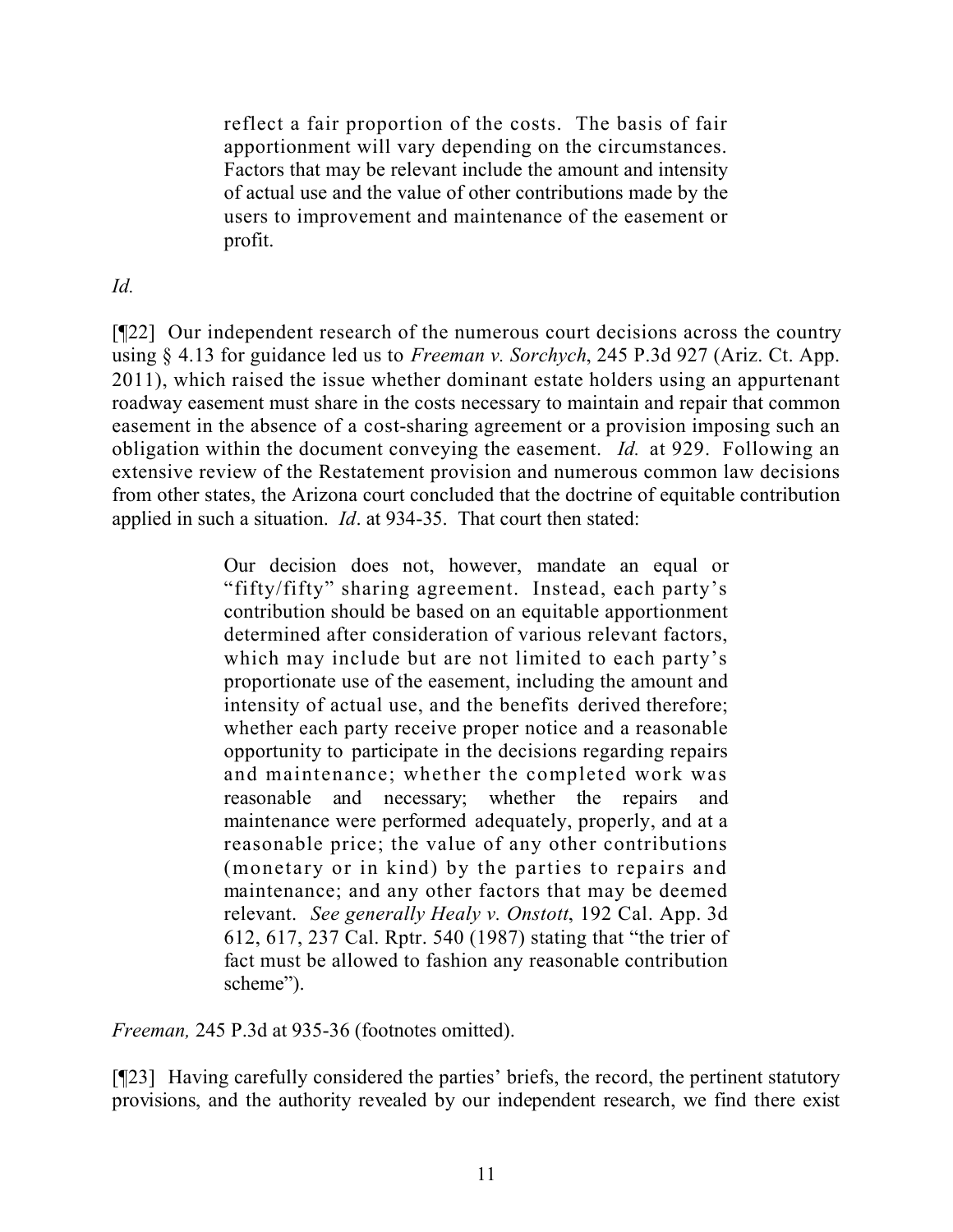reflect a fair proportion of the costs. The basis of fair apportionment will vary depending on the circumstances. Factors that may be relevant include the amount and intensity of actual use and the value of other contributions made by the users to improvement and maintenance of the easement or profit.

## *Id.*

[¶22] Our independent research of the numerous court decisions across the country using § 4.13 for guidance led us to *Freeman v. Sorchych*, 245 P.3d 927 (Ariz. Ct. App. 2011), which raised the issue whether dominant estate holders using an appurtenant roadway easement must share in the costs necessary to maintain and repair that common easement in the absence of a cost-sharing agreement or a provision imposing such an obligation within the document conveying the easement. *Id.* at 929. Following an extensive review of the Restatement provision and numerous common law decisions from other states, the Arizona court concluded that the doctrine of equitable contribution applied in such a situation. *Id*. at 934-35. That court then stated:

> Our decision does not, however, mandate an equal or "fifty/fifty" sharing agreement. Instead, each party's contribution should be based on an equitable apportionment determined after consideration of various relevant factors, which may include but are not limited to each party's proportionate use of the easement, including the amount and intensity of actual use, and the benefits derived therefore; whether each party receive proper notice and a reasonable opportunity to participate in the decisions regarding repairs and maintenance; whether the completed work was reasonable and necessary; whether the repairs and maintenance were performed adequately, properly, and at a reasonable price; the value of any other contributions (monetary or in kind) by the parties to repairs and maintenance; and any other factors that may be deemed relevant. *See generally Healy v. Onstott*, 192 Cal. App. 3d 612, 617, 237 Cal. Rptr. 540 (1987) stating that "the trier of fact must be allowed to fashion any reasonable contribution scheme").

*Freeman,* 245 P.3d at 935-36 (footnotes omitted).

[¶23] Having carefully considered the parties' briefs, the record, the pertinent statutory provisions, and the authority revealed by our independent research, we find there exist